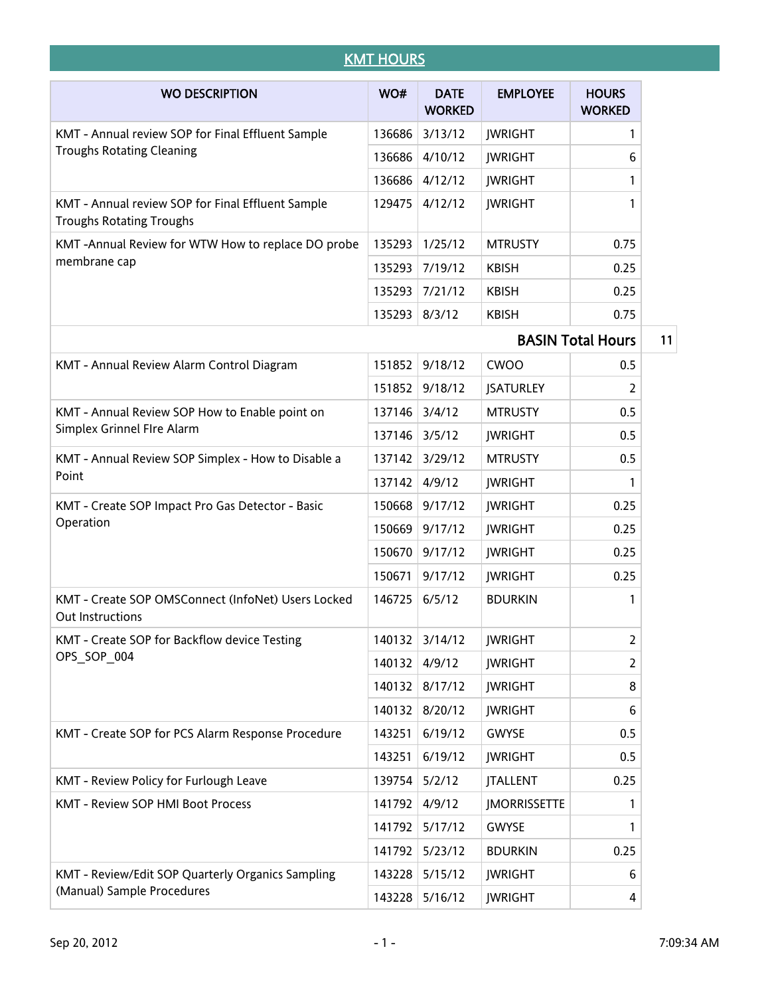| <b>KMT HOURS</b>                                                                     |        |                              |                     |                               |  |
|--------------------------------------------------------------------------------------|--------|------------------------------|---------------------|-------------------------------|--|
| <b>WO DESCRIPTION</b>                                                                | WO#    | <b>DATE</b><br><b>WORKED</b> | <b>EMPLOYEE</b>     | <b>HOURS</b><br><b>WORKED</b> |  |
| KMT - Annual review SOP for Final Effluent Sample                                    | 136686 | 3/13/12                      | <b>JWRIGHT</b>      | 1                             |  |
| <b>Troughs Rotating Cleaning</b>                                                     | 136686 | 4/10/12                      | <b>JWRIGHT</b>      | 6                             |  |
|                                                                                      | 136686 | 4/12/12                      | <b>JWRIGHT</b>      | 1                             |  |
| KMT - Annual review SOP for Final Effluent Sample<br><b>Troughs Rotating Troughs</b> | 129475 | 4/12/12                      | <b>JWRIGHT</b>      | 1                             |  |
| KMT-Annual Review for WTW How to replace DO probe                                    | 135293 | 1/25/12                      | <b>MTRUSTY</b>      | 0.75                          |  |
| membrane cap                                                                         | 135293 | 7/19/12                      | <b>KBISH</b>        | 0.25                          |  |
|                                                                                      | 135293 | 7/21/12                      | <b>KBISH</b>        | 0.25                          |  |
|                                                                                      | 135293 | 8/3/12                       | <b>KBISH</b>        | 0.75                          |  |
|                                                                                      |        |                              |                     | <b>BASIN Total Hours</b>      |  |
| KMT - Annual Review Alarm Control Diagram                                            | 151852 | 9/18/12                      | <b>CWOO</b>         | 0.5                           |  |
|                                                                                      | 151852 | 9/18/12                      | <b>JSATURLEY</b>    | 2                             |  |
| KMT - Annual Review SOP How to Enable point on                                       | 137146 | 3/4/12                       | <b>MTRUSTY</b>      | 0.5                           |  |
| Simplex Grinnel FIre Alarm                                                           | 137146 | 3/5/12                       | <b>JWRIGHT</b>      | 0.5                           |  |
| KMT - Annual Review SOP Simplex - How to Disable a<br>Point                          | 137142 | 3/29/12                      | <b>MTRUSTY</b>      | 0.5                           |  |
|                                                                                      | 137142 | 4/9/12                       | <b>JWRIGHT</b>      | 1                             |  |
| KMT - Create SOP Impact Pro Gas Detector - Basic                                     | 150668 | 9/17/12                      | <b>JWRIGHT</b>      | 0.25                          |  |
| Operation                                                                            | 150669 | 9/17/12                      | <b>JWRIGHT</b>      | 0.25                          |  |
|                                                                                      | 150670 | 9/17/12                      | <b>JWRIGHT</b>      | 0.25                          |  |
|                                                                                      | 150671 | 9/17/12                      | <b>JWRIGHT</b>      | 0.25                          |  |
| KMT - Create SOP OMSConnect (InfoNet) Users Locked<br><b>Out Instructions</b>        | 146725 | 6/5/12                       | <b>BDURKIN</b>      | 1                             |  |
| KMT - Create SOP for Backflow device Testing                                         | 140132 | 3/14/12                      | <b>JWRIGHT</b>      | 2                             |  |
| OPS SOP 004                                                                          | 140132 | 4/9/12                       | <b>JWRIGHT</b>      | 2                             |  |
|                                                                                      | 140132 | 8/17/12                      | <b>JWRIGHT</b>      | 8                             |  |
|                                                                                      | 140132 | 8/20/12                      | <b>JWRIGHT</b>      | 6                             |  |
| KMT - Create SOP for PCS Alarm Response Procedure                                    | 143251 | 6/19/12                      | <b>GWYSE</b>        | 0.5                           |  |
|                                                                                      | 143251 | 6/19/12                      | <b>JWRIGHT</b>      | 0.5                           |  |
| KMT - Review Policy for Furlough Leave                                               | 139754 | 5/2/12                       | <b>JTALLENT</b>     | 0.25                          |  |
| KMT - Review SOP HMI Boot Process                                                    | 141792 | 4/9/12                       | <b>JMORRISSETTE</b> | 1                             |  |
|                                                                                      | 141792 | 5/17/12                      | <b>GWYSE</b>        | 1                             |  |
|                                                                                      | 141792 | 5/23/12                      | <b>BDURKIN</b>      | 0.25                          |  |
| KMT - Review/Edit SOP Quarterly Organics Sampling                                    | 143228 | 5/15/12                      | <b>JWRIGHT</b>      | 6                             |  |
| (Manual) Sample Procedures                                                           |        | 143228 5/16/12               | <b>JWRIGHT</b>      | 4                             |  |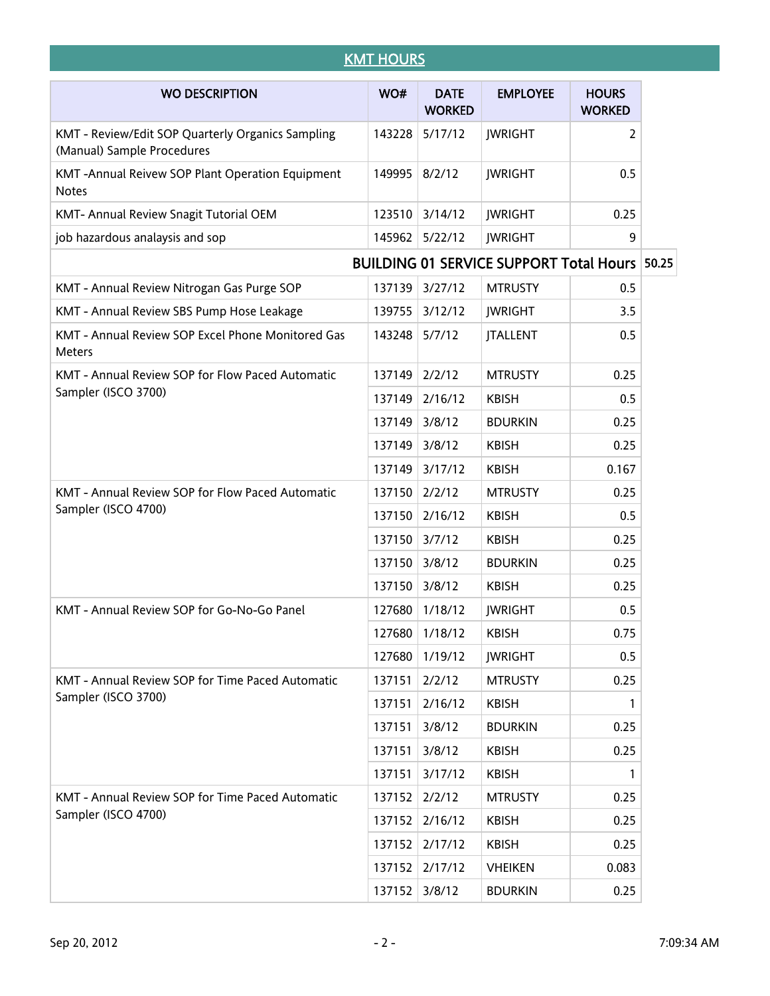|                                                                                 | <b>KMT HOURS</b> |                              |                                                      |                               |  |
|---------------------------------------------------------------------------------|------------------|------------------------------|------------------------------------------------------|-------------------------------|--|
| <b>WO DESCRIPTION</b>                                                           | WO#              | <b>DATE</b><br><b>WORKED</b> | <b>EMPLOYEE</b>                                      | <b>HOURS</b><br><b>WORKED</b> |  |
| KMT - Review/Edit SOP Quarterly Organics Sampling<br>(Manual) Sample Procedures | 143228           | 5/17/12                      | <b>JWRIGHT</b>                                       | 2                             |  |
| KMT-Annual Reivew SOP Plant Operation Equipment<br><b>Notes</b>                 | 149995           | 8/2/12                       | <b>JWRIGHT</b>                                       | 0.5                           |  |
| KMT- Annual Review Snagit Tutorial OEM                                          | 123510           | 3/14/12                      | <b>JWRIGHT</b>                                       | 0.25                          |  |
| job hazardous analaysis and sop                                                 | 145962           | 5/22/12                      | <b>JWRIGHT</b>                                       | 9                             |  |
|                                                                                 |                  |                              | <b>BUILDING 01 SERVICE SUPPORT Total Hours 50.25</b> |                               |  |
| KMT - Annual Review Nitrogan Gas Purge SOP                                      | 137139           | 3/27/12                      | <b>MTRUSTY</b>                                       | 0.5                           |  |
| KMT - Annual Review SBS Pump Hose Leakage                                       | 139755           | 3/12/12                      | <b>JWRIGHT</b>                                       | 3.5                           |  |
| KMT - Annual Review SOP Excel Phone Monitored Gas<br>Meters                     | 143248           | 5/7/12                       | <b>JTALLENT</b>                                      | 0.5                           |  |
| KMT - Annual Review SOP for Flow Paced Automatic                                | 137149           | 2/2/12                       | <b>MTRUSTY</b>                                       | 0.25                          |  |
| Sampler (ISCO 3700)                                                             | 137149           | 2/16/12                      | <b>KBISH</b>                                         | 0.5                           |  |
|                                                                                 | 137149           | 3/8/12                       | <b>BDURKIN</b>                                       | 0.25                          |  |
|                                                                                 | 137149           | 3/8/12                       | <b>KBISH</b>                                         | 0.25                          |  |
|                                                                                 | 137149           | 3/17/12                      | <b>KBISH</b>                                         | 0.167                         |  |
| KMT - Annual Review SOP for Flow Paced Automatic                                | 137150           | 2/2/12                       | <b>MTRUSTY</b>                                       | 0.25                          |  |
| Sampler (ISCO 4700)                                                             | 137150           | 2/16/12                      | <b>KBISH</b>                                         | 0.5                           |  |
|                                                                                 | 137150           | 3/7/12                       | <b>KBISH</b>                                         | 0.25                          |  |
|                                                                                 | 137150           | 3/8/12                       | <b>BDURKIN</b>                                       | 0.25                          |  |
|                                                                                 | 137150           | 3/8/12                       | <b>KBISH</b>                                         | 0.25                          |  |
| KMT - Annual Review SOP for Go-No-Go Panel                                      |                  | 127680 1/18/12               | <b>JWRIGHT</b>                                       | 0.5                           |  |
|                                                                                 | 127680           | 1/18/12                      | <b>KBISH</b>                                         | 0.75                          |  |
|                                                                                 | 127680           | 1/19/12                      | <b>JWRIGHT</b>                                       | 0.5                           |  |
| KMT - Annual Review SOP for Time Paced Automatic                                | 137151           | 2/2/12                       | <b>MTRUSTY</b>                                       | 0.25                          |  |
| Sampler (ISCO 3700)                                                             | 137151           | 2/16/12                      | <b>KBISH</b>                                         | 1                             |  |
|                                                                                 | 137151           | 3/8/12                       | <b>BDURKIN</b>                                       | 0.25                          |  |
|                                                                                 | 137151           | 3/8/12                       | <b>KBISH</b>                                         | 0.25                          |  |
|                                                                                 | 137151           | 3/17/12                      | <b>KBISH</b>                                         | 1                             |  |
| KMT - Annual Review SOP for Time Paced Automatic                                | 137152           | 2/2/12                       | <b>MTRUSTY</b>                                       | 0.25                          |  |
| Sampler (ISCO 4700)                                                             | 137152           | 2/16/12                      | <b>KBISH</b>                                         | 0.25                          |  |
|                                                                                 | 137152           | 2/17/12                      | <b>KBISH</b>                                         | 0.25                          |  |
|                                                                                 | 137152           | 2/17/12                      | <b>VHEIKEN</b>                                       | 0.083                         |  |
|                                                                                 | 137152           | 3/8/12                       | <b>BDURKIN</b>                                       | 0.25                          |  |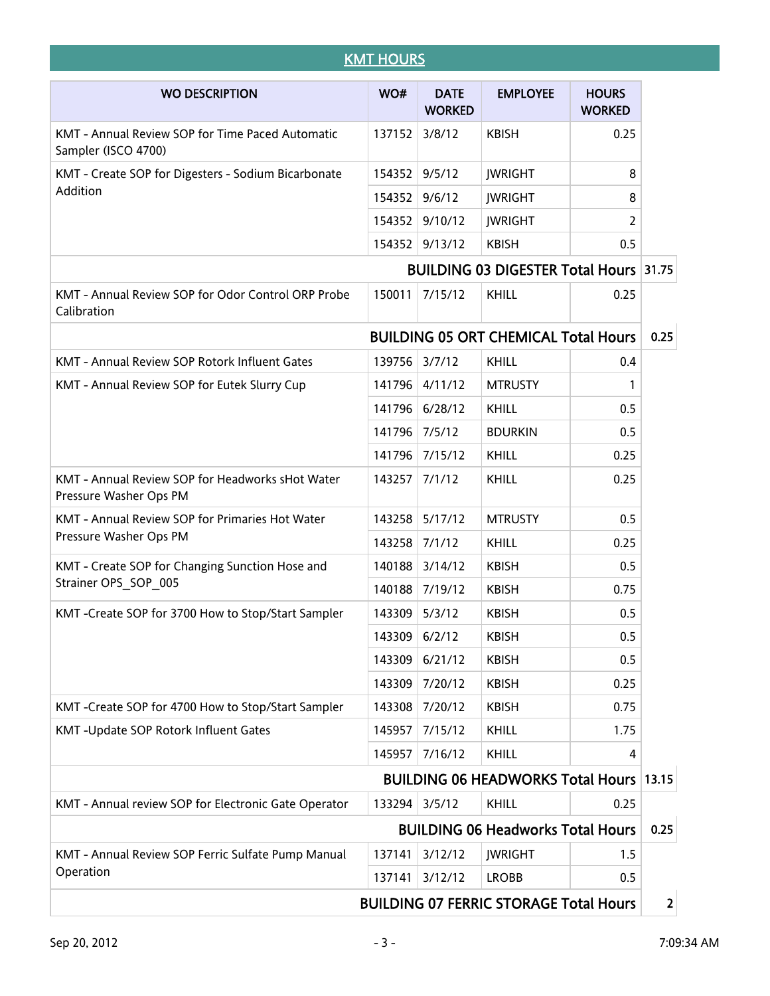| <b>KMT HOURS</b>                                                           |        |                              |                                                |                               |      |
|----------------------------------------------------------------------------|--------|------------------------------|------------------------------------------------|-------------------------------|------|
| <b>WO DESCRIPTION</b>                                                      | WO#    | <b>DATE</b><br><b>WORKED</b> | <b>EMPLOYEE</b>                                | <b>HOURS</b><br><b>WORKED</b> |      |
| KMT - Annual Review SOP for Time Paced Automatic<br>Sampler (ISCO 4700)    | 137152 | 3/8/12                       | <b>KBISH</b>                                   | 0.25                          |      |
| KMT - Create SOP for Digesters - Sodium Bicarbonate                        | 154352 | 9/5/12                       | <b>JWRIGHT</b>                                 | 8                             |      |
| Addition                                                                   | 154352 | 9/6/12                       | <b>JWRIGHT</b>                                 | 8                             |      |
|                                                                            | 154352 | 9/10/12                      | <b>JWRIGHT</b>                                 | 2                             |      |
|                                                                            | 154352 | 9/13/12                      | <b>KBISH</b>                                   | 0.5                           |      |
|                                                                            |        |                              | <b>BUILDING 03 DIGESTER Total Hours 31.75</b>  |                               |      |
| KMT - Annual Review SOP for Odor Control ORP Probe<br>Calibration          | 150011 | 7/15/12                      | KHILL                                          | 0.25                          |      |
|                                                                            |        |                              | <b>BUILDING 05 ORT CHEMICAL Total Hours</b>    |                               | 0.25 |
| KMT - Annual Review SOP Rotork Influent Gates                              | 139756 | 3/7/12                       | KHILL                                          | 0.4                           |      |
| KMT - Annual Review SOP for Eutek Slurry Cup                               | 141796 | 4/11/12                      | <b>MTRUSTY</b>                                 | 1                             |      |
|                                                                            | 141796 | 6/28/12                      | <b>KHILL</b>                                   | 0.5                           |      |
|                                                                            | 141796 | 7/5/12                       | <b>BDURKIN</b>                                 | 0.5                           |      |
|                                                                            | 141796 | 7/15/12                      | KHILL                                          | 0.25                          |      |
| KMT - Annual Review SOP for Headworks sHot Water<br>Pressure Washer Ops PM | 143257 | 7/1/12                       | KHILL                                          | 0.25                          |      |
| KMT - Annual Review SOP for Primaries Hot Water                            | 143258 | 5/17/12                      | <b>MTRUSTY</b>                                 | 0.5                           |      |
| Pressure Washer Ops PM                                                     | 143258 | 7/1/12                       | KHILL                                          | 0.25                          |      |
| KMT - Create SOP for Changing Sunction Hose and                            | 140188 | 3/14/12                      | <b>KBISH</b>                                   | 0.5                           |      |
| Strainer OPS SOP 005                                                       | 140188 | 7/19/12                      | <b>KBISH</b>                                   | 0.75                          |      |
| KMT -Create SOP for 3700 How to Stop/Start Sampler                         | 143309 | 5/3/12                       | <b>KBISH</b>                                   | 0.5                           |      |
|                                                                            | 143309 | 6/2/12                       | <b>KBISH</b>                                   | 0.5                           |      |
|                                                                            | 143309 | 6/21/12                      | <b>KBISH</b>                                   | 0.5                           |      |
|                                                                            | 143309 | 7/20/12                      | <b>KBISH</b>                                   | 0.25                          |      |
| KMT-Create SOP for 4700 How to Stop/Start Sampler                          | 143308 | 7/20/12                      | <b>KBISH</b>                                   | 0.75                          |      |
| KMT-Update SOP Rotork Influent Gates                                       | 145957 | 7/15/12                      | <b>KHILL</b>                                   | 1.75                          |      |
|                                                                            | 145957 | 7/16/12                      | KHILL                                          | 4                             |      |
|                                                                            |        |                              | <b>BUILDING 06 HEADWORKS Total Hours 13.15</b> |                               |      |
| KMT - Annual review SOP for Electronic Gate Operator                       | 133294 | 3/5/12                       | KHILL                                          | 0.25                          |      |
|                                                                            |        |                              | <b>BUILDING 06 Headworks Total Hours</b>       |                               | 0.25 |
| KMT - Annual Review SOP Ferric Sulfate Pump Manual                         | 137141 | 3/12/12                      | <b>JWRIGHT</b>                                 | 1.5                           |      |
| Operation                                                                  | 137141 | 3/12/12                      | <b>LROBB</b>                                   | 0.5                           |      |
|                                                                            |        |                              | <b>BUILDING 07 FERRIC STORAGE Total Hours</b>  |                               |      |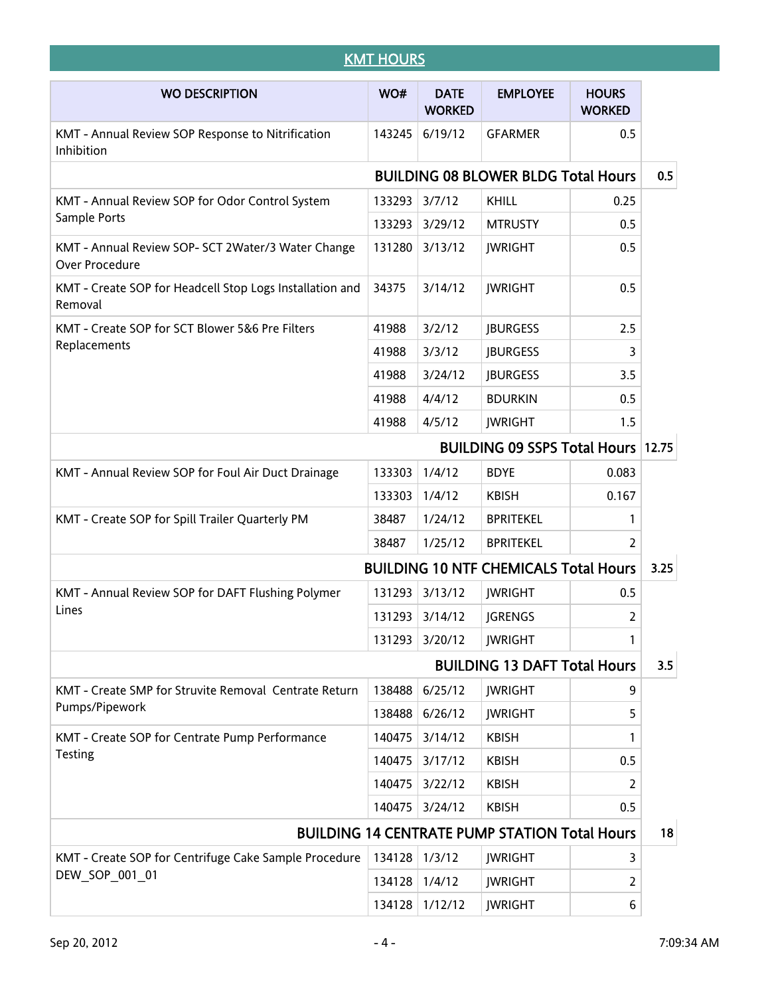| <b>KMT HOURS</b>                                                     |        |                              |                                                      |                               |      |
|----------------------------------------------------------------------|--------|------------------------------|------------------------------------------------------|-------------------------------|------|
| <b>WO DESCRIPTION</b>                                                | WO#    | <b>DATE</b><br><b>WORKED</b> | <b>EMPLOYEE</b>                                      | <b>HOURS</b><br><b>WORKED</b> |      |
| KMT - Annual Review SOP Response to Nitrification<br>Inhibition      | 143245 | 6/19/12                      | <b>GFARMER</b>                                       | 0.5                           |      |
|                                                                      |        |                              | <b>BUILDING 08 BLOWER BLDG Total Hours</b>           |                               | 0.5  |
| KMT - Annual Review SOP for Odor Control System                      | 133293 | 3/7/12                       | KHILL                                                | 0.25                          |      |
| Sample Ports                                                         | 133293 | 3/29/12                      | <b>MTRUSTY</b>                                       | 0.5                           |      |
| KMT - Annual Review SOP- SCT 2Water/3 Water Change<br>Over Procedure | 131280 | 3/13/12                      | <b>JWRIGHT</b>                                       | 0.5                           |      |
| KMT - Create SOP for Headcell Stop Logs Installation and<br>Removal  | 34375  | 3/14/12                      | <b>JWRIGHT</b>                                       | 0.5                           |      |
| KMT - Create SOP for SCT Blower 5&6 Pre Filters                      | 41988  | 3/2/12                       | <b>JBURGESS</b>                                      | 2.5                           |      |
| Replacements                                                         | 41988  | 3/3/12                       | <b>JBURGESS</b>                                      | 3                             |      |
|                                                                      | 41988  | 3/24/12                      | <b>JBURGESS</b>                                      | 3.5                           |      |
|                                                                      | 41988  | 4/4/12                       | <b>BDURKIN</b>                                       | 0.5                           |      |
|                                                                      | 41988  | 4/5/12                       | <b>JWRIGHT</b>                                       | 1.5                           |      |
|                                                                      |        |                              | <b>BUILDING 09 SSPS Total Hours 12.75</b>            |                               |      |
| KMT - Annual Review SOP for Foul Air Duct Drainage                   | 133303 | 1/4/12                       | <b>BDYE</b>                                          | 0.083                         |      |
|                                                                      | 133303 | 1/4/12                       | <b>KBISH</b>                                         | 0.167                         |      |
| KMT - Create SOP for Spill Trailer Quarterly PM                      | 38487  | 1/24/12                      | <b>BPRITEKEL</b>                                     | 1                             |      |
|                                                                      | 38487  | 1/25/12                      | <b>BPRITEKEL</b>                                     | 2                             |      |
|                                                                      |        |                              | <b>BUILDING 10 NTF CHEMICALS Total Hours</b>         |                               | 3.25 |
| KMT - Annual Review SOP for DAFT Flushing Polymer                    | 131293 | 3/13/12                      | <b>JWRIGHT</b>                                       | 0.5                           |      |
| Lines                                                                | 131293 | 3/14/12                      | <b>JGRENGS</b>                                       | 2                             |      |
|                                                                      | 131293 | 3/20/12                      | <b>JWRIGHT</b>                                       | 1                             |      |
|                                                                      |        |                              | <b>BUILDING 13 DAFT Total Hours</b>                  |                               | 3.5  |
| KMT - Create SMP for Struvite Removal Centrate Return                | 138488 | 6/25/12                      | <b>JWRIGHT</b>                                       | 9                             |      |
| Pumps/Pipework                                                       | 138488 | 6/26/12                      | <b>JWRIGHT</b>                                       | 5                             |      |
| KMT - Create SOP for Centrate Pump Performance                       | 140475 | 3/14/12                      | <b>KBISH</b>                                         | 1                             |      |
| <b>Testing</b>                                                       | 140475 | 3/17/12                      | <b>KBISH</b>                                         | 0.5                           |      |
|                                                                      | 140475 | 3/22/12                      | <b>KBISH</b>                                         | 2                             |      |
|                                                                      | 140475 | 3/24/12                      | <b>KBISH</b>                                         | 0.5                           |      |
|                                                                      |        |                              | <b>BUILDING 14 CENTRATE PUMP STATION Total Hours</b> |                               | 18   |
| KMT - Create SOP for Centrifuge Cake Sample Procedure                | 134128 | 1/3/12                       | <b>JWRIGHT</b>                                       | 3                             |      |
| DEW_SOP_001_01                                                       | 134128 | 1/4/12                       | <b>JWRIGHT</b>                                       | 2                             |      |
|                                                                      | 134128 | 1/12/12                      | <b>JWRIGHT</b>                                       | 6                             |      |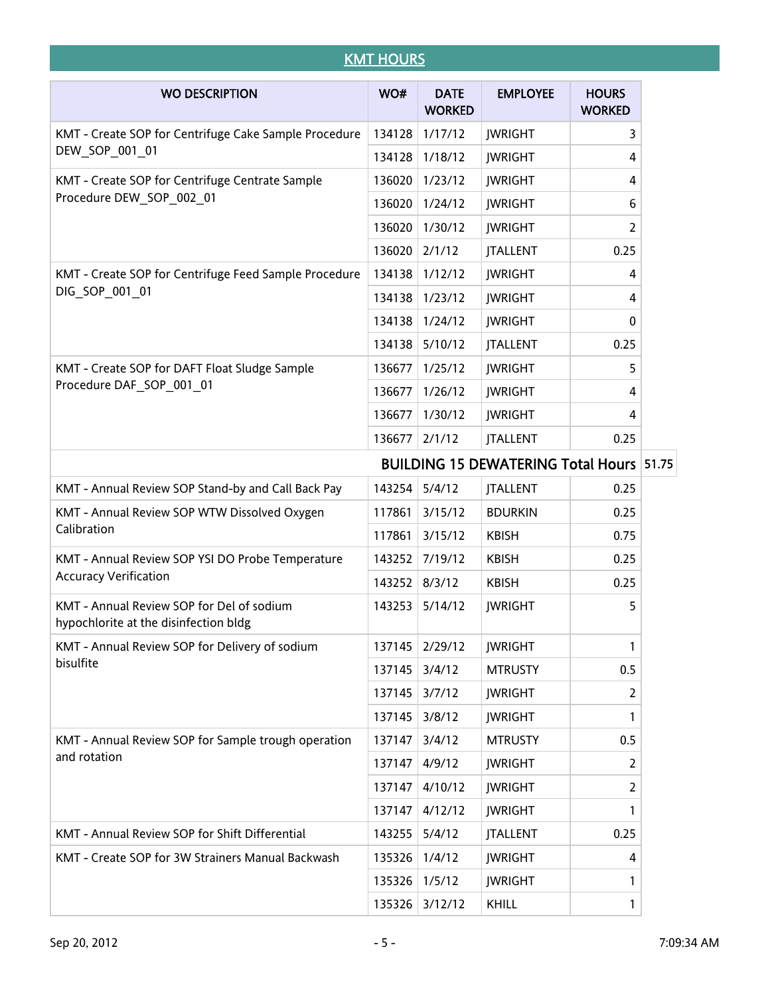| <b>KMT HOURS</b>                                                                   |        |                              |                                                 |                               |  |  |  |
|------------------------------------------------------------------------------------|--------|------------------------------|-------------------------------------------------|-------------------------------|--|--|--|
| <b>WO DESCRIPTION</b>                                                              | WO#    | <b>DATE</b><br><b>WORKED</b> | <b>EMPLOYEE</b>                                 | <b>HOURS</b><br><b>WORKED</b> |  |  |  |
| KMT - Create SOP for Centrifuge Cake Sample Procedure                              | 134128 | 1/17/12                      | <b>JWRIGHT</b>                                  | 3                             |  |  |  |
| DEW_SOP_001_01                                                                     | 134128 | 1/18/12                      | <b>JWRIGHT</b>                                  | 4                             |  |  |  |
| KMT - Create SOP for Centrifuge Centrate Sample                                    | 136020 | 1/23/12                      | <b>JWRIGHT</b>                                  | 4                             |  |  |  |
| Procedure DEW SOP 002 01                                                           | 136020 | 1/24/12                      | <b>JWRIGHT</b>                                  | 6                             |  |  |  |
|                                                                                    | 136020 | 1/30/12                      | <b>JWRIGHT</b>                                  | 2                             |  |  |  |
|                                                                                    | 136020 | 2/1/12                       | <b>JTALLENT</b>                                 | 0.25                          |  |  |  |
| KMT - Create SOP for Centrifuge Feed Sample Procedure                              | 134138 | 1/12/12                      | <b>JWRIGHT</b>                                  | 4                             |  |  |  |
| DIG SOP 001 01                                                                     | 134138 | 1/23/12                      | <b>JWRIGHT</b>                                  | 4                             |  |  |  |
|                                                                                    | 134138 | 1/24/12                      | <b>JWRIGHT</b>                                  | 0                             |  |  |  |
|                                                                                    | 134138 | 5/10/12                      | <b>JTALLENT</b>                                 | 0.25                          |  |  |  |
| KMT - Create SOP for DAFT Float Sludge Sample                                      | 136677 | 1/25/12                      | <b>JWRIGHT</b>                                  | 5                             |  |  |  |
| Procedure DAF SOP 001 01                                                           | 136677 | 1/26/12                      | <b>JWRIGHT</b>                                  | 4                             |  |  |  |
|                                                                                    | 136677 | 1/30/12                      | <b>JWRIGHT</b>                                  | 4                             |  |  |  |
|                                                                                    | 136677 | 2/1/12                       | <b>JTALLENT</b>                                 | 0.25                          |  |  |  |
|                                                                                    |        |                              | <b>BUILDING 15 DEWATERING Total Hours 51.75</b> |                               |  |  |  |
| KMT - Annual Review SOP Stand-by and Call Back Pay                                 | 143254 | 5/4/12                       | <b>JTALLENT</b>                                 | 0.25                          |  |  |  |
| KMT - Annual Review SOP WTW Dissolved Oxygen<br>Calibration                        | 117861 | 3/15/12                      | <b>BDURKIN</b>                                  | 0.25                          |  |  |  |
|                                                                                    | 117861 | 3/15/12                      | <b>KBISH</b>                                    | 0.75                          |  |  |  |
| KMT - Annual Review SOP YSI DO Probe Temperature                                   | 143252 | 7/19/12                      | <b>KBISH</b>                                    | 0.25                          |  |  |  |
| <b>Accuracy Verification</b>                                                       | 143252 | 8/3/12                       | <b>KBISH</b>                                    | 0.25                          |  |  |  |
| KMT - Annual Review SOP for Del of sodium<br>hypochlorite at the disinfection bldg | 143253 | 5/14/12                      | <b>JWRIGHT</b>                                  | 5                             |  |  |  |
| KMT - Annual Review SOP for Delivery of sodium                                     | 137145 | 2/29/12                      | <b>JWRIGHT</b>                                  | 1                             |  |  |  |
| bisulfite                                                                          | 137145 | 3/4/12                       | <b>MTRUSTY</b>                                  | 0.5                           |  |  |  |
|                                                                                    | 137145 | 3/7/12                       | <b>JWRIGHT</b>                                  | 2                             |  |  |  |
|                                                                                    | 137145 | 3/8/12                       | <b>JWRIGHT</b>                                  | 1                             |  |  |  |
| KMT - Annual Review SOP for Sample trough operation                                | 137147 | 3/4/12                       | <b>MTRUSTY</b>                                  | 0.5                           |  |  |  |
| and rotation                                                                       | 137147 | 4/9/12                       | <b>JWRIGHT</b>                                  | 2                             |  |  |  |
|                                                                                    | 137147 | 4/10/12                      | <b>JWRIGHT</b>                                  | 2                             |  |  |  |
|                                                                                    | 137147 | 4/12/12                      | <b>JWRIGHT</b>                                  | 1                             |  |  |  |
| KMT - Annual Review SOP for Shift Differential                                     | 143255 | 5/4/12                       | <b>JTALLENT</b>                                 | 0.25                          |  |  |  |
| KMT - Create SOP for 3W Strainers Manual Backwash                                  | 135326 | 1/4/12                       | <b>JWRIGHT</b>                                  | 4                             |  |  |  |
|                                                                                    | 135326 | 1/5/12                       | <b>JWRIGHT</b>                                  | 1                             |  |  |  |
|                                                                                    |        | 135326 3/12/12               | KHILL                                           | 1                             |  |  |  |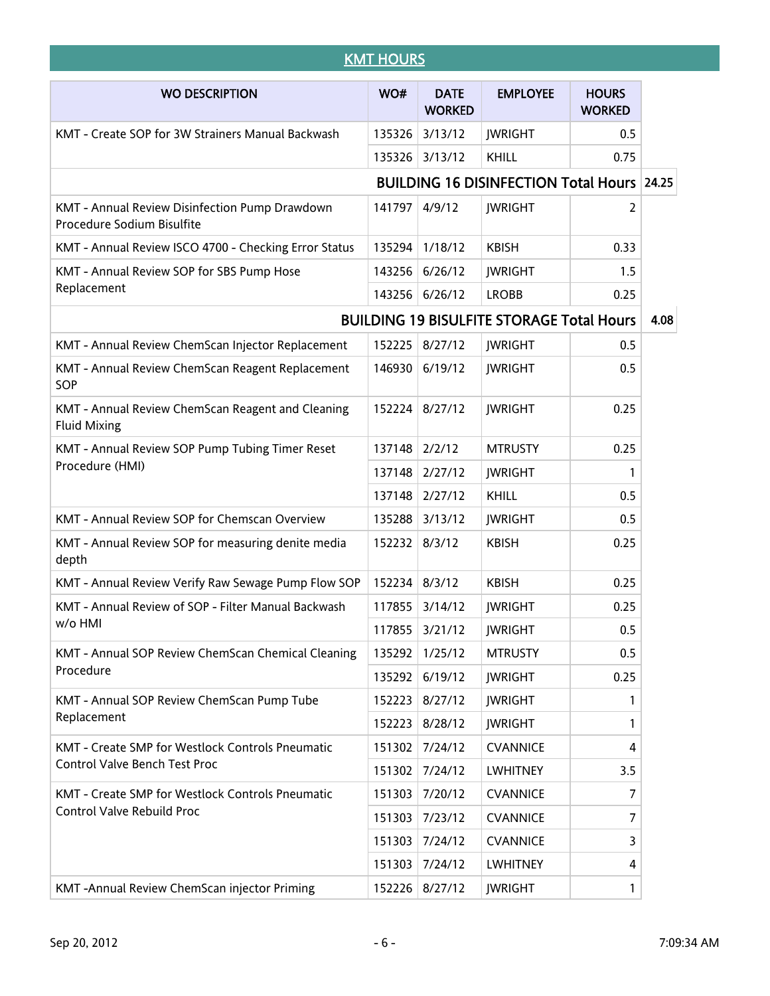| <b>KMT HOURS</b>                                                             |        |                              |                                                   |                               |      |  |
|------------------------------------------------------------------------------|--------|------------------------------|---------------------------------------------------|-------------------------------|------|--|
| <b>WO DESCRIPTION</b>                                                        | WO#    | <b>DATE</b><br><b>WORKED</b> | <b>EMPLOYEE</b>                                   | <b>HOURS</b><br><b>WORKED</b> |      |  |
| KMT - Create SOP for 3W Strainers Manual Backwash                            | 135326 | 3/13/12                      | <b>JWRIGHT</b>                                    | 0.5                           |      |  |
|                                                                              | 135326 | 3/13/12                      | <b>KHILL</b>                                      | 0.75                          |      |  |
|                                                                              |        |                              | <b>BUILDING 16 DISINFECTION Total Hours 24.25</b> |                               |      |  |
| KMT - Annual Review Disinfection Pump Drawdown<br>Procedure Sodium Bisulfite | 141797 | 4/9/12                       | <b>JWRIGHT</b>                                    | 2                             |      |  |
| KMT - Annual Review ISCO 4700 - Checking Error Status                        | 135294 | 1/18/12                      | <b>KBISH</b>                                      | 0.33                          |      |  |
| KMT - Annual Review SOP for SBS Pump Hose                                    | 143256 | 6/26/12                      | <b>JWRIGHT</b>                                    | 1.5                           |      |  |
| Replacement                                                                  | 143256 | 6/26/12                      | <b>LROBB</b>                                      | 0.25                          |      |  |
|                                                                              |        |                              | <b>BUILDING 19 BISULFITE STORAGE Total Hours</b>  |                               | 4.08 |  |
| KMT - Annual Review ChemScan Injector Replacement                            | 152225 | 8/27/12                      | <b>JWRIGHT</b>                                    | 0.5                           |      |  |
| KMT - Annual Review ChemScan Reagent Replacement<br>SOP                      | 146930 | 6/19/12                      | <b>JWRIGHT</b>                                    | 0.5                           |      |  |
| KMT - Annual Review ChemScan Reagent and Cleaning<br><b>Fluid Mixing</b>     | 152224 | 8/27/12                      | <b>JWRIGHT</b>                                    | 0.25                          |      |  |
| KMT - Annual Review SOP Pump Tubing Timer Reset                              | 137148 | 2/2/12                       | <b>MTRUSTY</b>                                    | 0.25                          |      |  |
| Procedure (HMI)                                                              | 137148 | 2/27/12                      | <b>JWRIGHT</b>                                    | 1                             |      |  |
|                                                                              | 137148 | 2/27/12                      | <b>KHILL</b>                                      | 0.5                           |      |  |
| KMT - Annual Review SOP for Chemscan Overview                                | 135288 | 3/13/12                      | <b>JWRIGHT</b>                                    | 0.5                           |      |  |
| KMT - Annual Review SOP for measuring denite media<br>depth                  | 152232 | 8/3/12                       | <b>KBISH</b>                                      | 0.25                          |      |  |
| KMT - Annual Review Verify Raw Sewage Pump Flow SOP                          | 152234 | 8/3/12                       | <b>KBISH</b>                                      | 0.25                          |      |  |
| KMT - Annual Review of SOP - Filter Manual Backwash                          | 117855 | 3/14/12                      | JWRIGHT                                           | 0.25                          |      |  |
| w/o HMI                                                                      | 117855 | 3/21/12                      | <b>JWRIGHT</b>                                    | 0.5                           |      |  |
| KMT - Annual SOP Review ChemScan Chemical Cleaning                           | 135292 | 1/25/12                      | <b>MTRUSTY</b>                                    | 0.5                           |      |  |
| Procedure                                                                    | 135292 | 6/19/12                      | <b>JWRIGHT</b>                                    | 0.25                          |      |  |
| KMT - Annual SOP Review ChemScan Pump Tube                                   | 152223 | 8/27/12                      | <b>JWRIGHT</b>                                    | 1                             |      |  |
| Replacement                                                                  | 152223 | 8/28/12                      | <b>JWRIGHT</b>                                    | 1                             |      |  |
| KMT - Create SMP for Westlock Controls Pneumatic                             | 151302 | 7/24/12                      | <b>CVANNICE</b>                                   | 4                             |      |  |
| <b>Control Valve Bench Test Proc</b>                                         | 151302 | 7/24/12                      | <b>LWHITNEY</b>                                   | 3.5                           |      |  |
| KMT - Create SMP for Westlock Controls Pneumatic                             | 151303 | 7/20/12                      | <b>CVANNICE</b>                                   | 7                             |      |  |
| Control Valve Rebuild Proc                                                   | 151303 | 7/23/12                      | <b>CVANNICE</b>                                   | 7                             |      |  |
|                                                                              | 151303 | 7/24/12                      | <b>CVANNICE</b>                                   | 3                             |      |  |
|                                                                              | 151303 | 7/24/12                      | <b>LWHITNEY</b>                                   | 4                             |      |  |
| KMT-Annual Review ChemScan injector Priming                                  | 152226 | 8/27/12                      | <b>JWRIGHT</b>                                    | 1                             |      |  |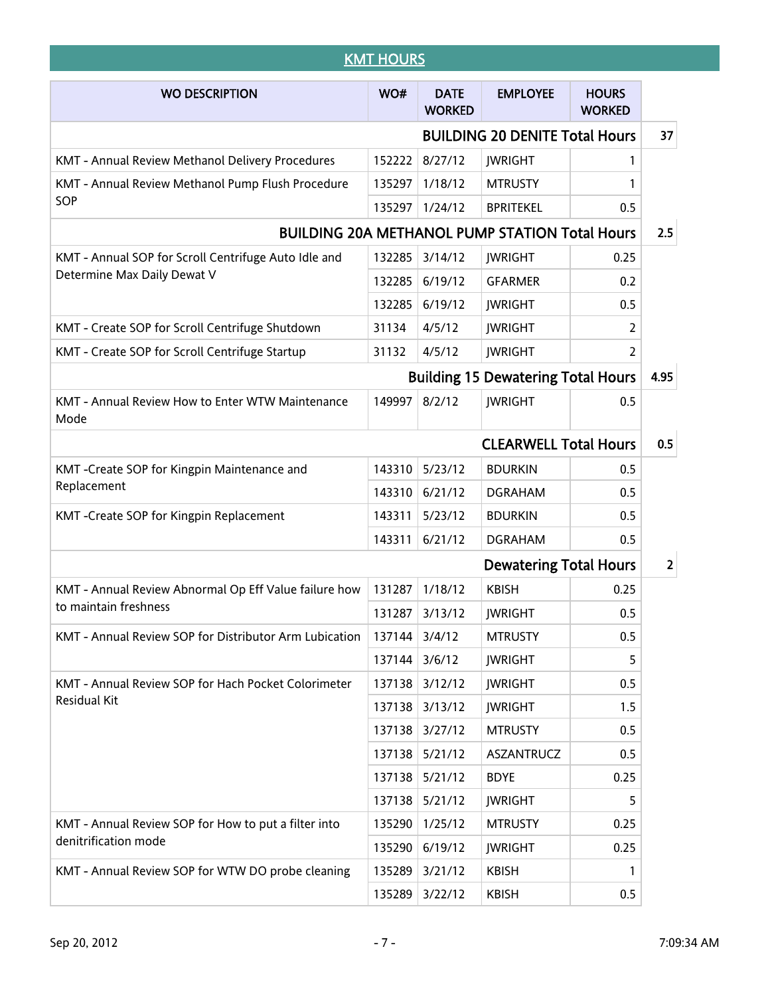| <b>KMT HOURS</b>                                         |        |                              |                                                       |                               |                |  |
|----------------------------------------------------------|--------|------------------------------|-------------------------------------------------------|-------------------------------|----------------|--|
| <b>WO DESCRIPTION</b>                                    | WO#    | <b>DATE</b><br><b>WORKED</b> | <b>EMPLOYEE</b>                                       | <b>HOURS</b><br><b>WORKED</b> |                |  |
|                                                          |        |                              | <b>BUILDING 20 DENITE Total Hours</b>                 |                               | 37             |  |
| KMT - Annual Review Methanol Delivery Procedures         | 152222 | 8/27/12                      | <b>JWRIGHT</b>                                        | 1                             |                |  |
| KMT - Annual Review Methanol Pump Flush Procedure        | 135297 | 1/18/12                      | <b>MTRUSTY</b>                                        | 1                             |                |  |
| SOP                                                      | 135297 | 1/24/12                      | <b>BPRITEKEL</b>                                      | 0.5                           |                |  |
|                                                          |        |                              | <b>BUILDING 20A METHANOL PUMP STATION Total Hours</b> |                               | 2.5            |  |
| KMT - Annual SOP for Scroll Centrifuge Auto Idle and     | 132285 | 3/14/12                      | <b>JWRIGHT</b>                                        | 0.25                          |                |  |
| Determine Max Daily Dewat V                              | 132285 | 6/19/12                      | <b>GFARMER</b>                                        | 0.2                           |                |  |
|                                                          | 132285 | 6/19/12                      | <b>JWRIGHT</b>                                        | 0.5                           |                |  |
| KMT - Create SOP for Scroll Centrifuge Shutdown          | 31134  | 4/5/12                       | <b>JWRIGHT</b>                                        | 2                             |                |  |
| KMT - Create SOP for Scroll Centrifuge Startup           | 31132  | 4/5/12                       | <b>JWRIGHT</b>                                        | 2                             |                |  |
|                                                          |        |                              | <b>Building 15 Dewatering Total Hours</b>             |                               | 4.95           |  |
| KMT - Annual Review How to Enter WTW Maintenance<br>Mode | 149997 | 8/2/12                       | <b>JWRIGHT</b>                                        | 0.5                           |                |  |
|                                                          |        |                              | <b>CLEARWELL Total Hours</b>                          |                               | 0.5            |  |
| KMT-Create SOP for Kingpin Maintenance and               | 143310 | 5/23/12                      | <b>BDURKIN</b>                                        | 0.5                           |                |  |
| Replacement                                              | 143310 | 6/21/12                      | <b>DGRAHAM</b>                                        | 0.5                           |                |  |
| KMT-Create SOP for Kingpin Replacement                   | 143311 | 5/23/12                      | <b>BDURKIN</b>                                        | 0.5                           |                |  |
|                                                          | 143311 | 6/21/12                      | <b>DGRAHAM</b>                                        | 0.5                           |                |  |
|                                                          |        |                              | <b>Dewatering Total Hours</b>                         |                               | $\overline{2}$ |  |
| KMT - Annual Review Abnormal Op Eff Value failure how    | 131287 | 1/18/12                      | <b>KBISH</b>                                          | 0.25                          |                |  |
| to maintain freshness                                    | 131287 | 3/13/12                      | <b>JWRIGHT</b>                                        | 0.5                           |                |  |
| KMT - Annual Review SOP for Distributor Arm Lubication   | 137144 | 3/4/12                       | <b>MTRUSTY</b>                                        | 0.5                           |                |  |
|                                                          | 137144 | 3/6/12                       | <b>JWRIGHT</b>                                        | 5                             |                |  |
| KMT - Annual Review SOP for Hach Pocket Colorimeter      | 137138 | 3/12/12                      | <b>JWRIGHT</b>                                        | 0.5                           |                |  |
| Residual Kit                                             | 137138 | 3/13/12                      | <b>JWRIGHT</b>                                        | 1.5                           |                |  |
|                                                          | 137138 | 3/27/12                      | <b>MTRUSTY</b>                                        | 0.5                           |                |  |
|                                                          | 137138 | 5/21/12                      | ASZANTRUCZ                                            | 0.5                           |                |  |
|                                                          | 137138 | 5/21/12                      | <b>BDYE</b>                                           | 0.25                          |                |  |
|                                                          | 137138 | 5/21/12                      | <b>JWRIGHT</b>                                        | 5                             |                |  |
| KMT - Annual Review SOP for How to put a filter into     | 135290 | 1/25/12                      | <b>MTRUSTY</b>                                        | 0.25                          |                |  |
| denitrification mode                                     | 135290 | 6/19/12                      | <b>JWRIGHT</b>                                        | 0.25                          |                |  |
| KMT - Annual Review SOP for WTW DO probe cleaning        | 135289 | 3/21/12                      | <b>KBISH</b>                                          | 1                             |                |  |
|                                                          | 135289 | 3/22/12                      | <b>KBISH</b>                                          | 0.5                           |                |  |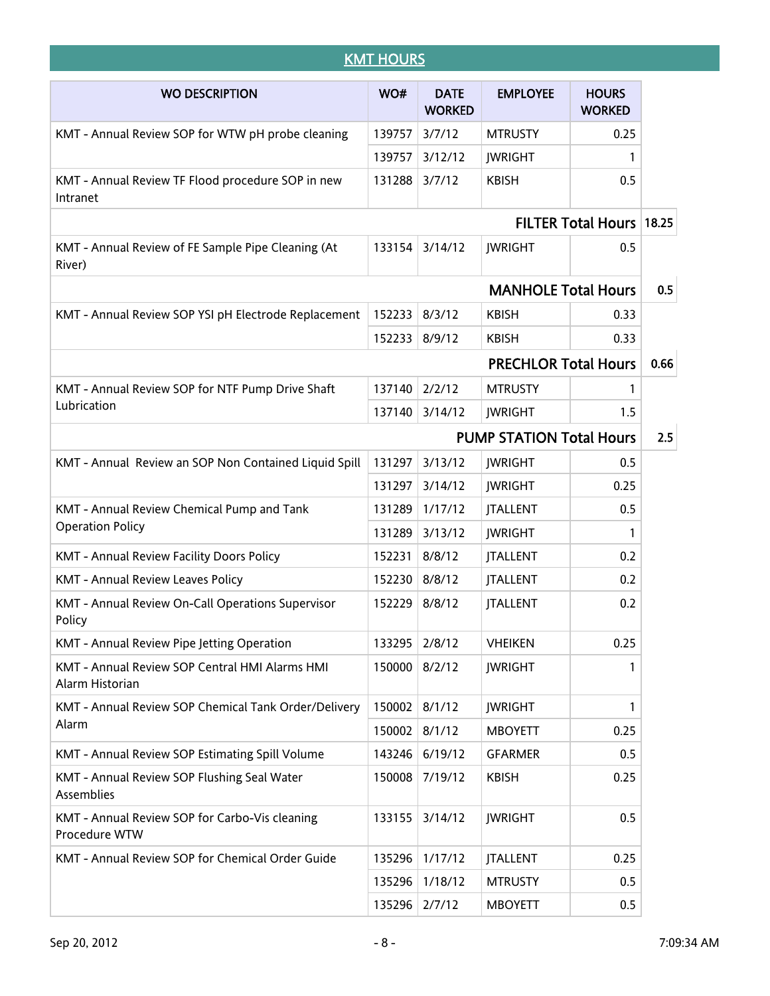|                                                                   | <b>KMT HOURS</b> |                              |                                 |                               |      |  |
|-------------------------------------------------------------------|------------------|------------------------------|---------------------------------|-------------------------------|------|--|
| <b>WO DESCRIPTION</b>                                             | WO#              | <b>DATE</b><br><b>WORKED</b> | <b>EMPLOYEE</b>                 | <b>HOURS</b><br><b>WORKED</b> |      |  |
| KMT - Annual Review SOP for WTW pH probe cleaning                 | 139757           | 3/7/12                       | <b>MTRUSTY</b>                  | 0.25                          |      |  |
|                                                                   | 139757           | 3/12/12                      | <b>JWRIGHT</b>                  | 1                             |      |  |
| KMT - Annual Review TF Flood procedure SOP in new<br>Intranet     | 131288           | 3/7/12                       | <b>KBISH</b>                    | 0.5                           |      |  |
|                                                                   |                  |                              |                                 | FILTER Total Hours 18.25      |      |  |
| KMT - Annual Review of FE Sample Pipe Cleaning (At<br>River)      | 133154           | 3/14/12                      | <b>JWRIGHT</b>                  | 0.5                           |      |  |
|                                                                   |                  |                              | <b>MANHOLE Total Hours</b>      |                               | 0.5  |  |
| KMT - Annual Review SOP YSI pH Electrode Replacement              | 152233           | 8/3/12                       | <b>KBISH</b>                    | 0.33                          |      |  |
|                                                                   | 152233           | 8/9/12                       | <b>KBISH</b>                    | 0.33                          |      |  |
|                                                                   |                  |                              | <b>PRECHLOR Total Hours</b>     |                               | 0.66 |  |
| KMT - Annual Review SOP for NTF Pump Drive Shaft                  | 137140           | 2/2/12                       | <b>MTRUSTY</b>                  | 1                             |      |  |
| Lubrication                                                       | 137140           | 3/14/12                      | <b>JWRIGHT</b>                  | 1.5                           |      |  |
|                                                                   |                  |                              | <b>PUMP STATION Total Hours</b> |                               |      |  |
| KMT - Annual Review an SOP Non Contained Liquid Spill             | 131297           | 3/13/12                      | <b>JWRIGHT</b>                  | 0.5                           |      |  |
|                                                                   | 131297           | 3/14/12                      | <b>JWRIGHT</b>                  | 0.25                          |      |  |
| KMT - Annual Review Chemical Pump and Tank                        | 131289           | 1/17/12                      | <b>JTALLENT</b>                 | 0.5                           |      |  |
| <b>Operation Policy</b>                                           | 131289           | 3/13/12                      | <b>JWRIGHT</b>                  | 1                             |      |  |
| KMT - Annual Review Facility Doors Policy                         | 152231           | 8/8/12                       | <b>JTALLENT</b>                 | 0.2                           |      |  |
| <b>KMT - Annual Review Leaves Policy</b>                          | 152230 8/8/12    |                              | <b>JTALLENT</b>                 | 0.2                           |      |  |
| KMT - Annual Review On-Call Operations Supervisor<br>Policy       | 152229 8/8/12    |                              | <b>JTALLENT</b>                 | 0.2                           |      |  |
| KMT - Annual Review Pipe Jetting Operation                        | 133295           | 2/8/12                       | <b>VHEIKEN</b>                  | 0.25                          |      |  |
| KMT - Annual Review SOP Central HMI Alarms HMI<br>Alarm Historian | 150000           | 8/2/12                       | <b>JWRIGHT</b>                  | 1                             |      |  |
| KMT - Annual Review SOP Chemical Tank Order/Delivery              | 150002           | 8/1/12                       | <b>JWRIGHT</b>                  | 1                             |      |  |
| Alarm                                                             | 150002           | 8/1/12                       | <b>MBOYETT</b>                  | 0.25                          |      |  |
| KMT - Annual Review SOP Estimating Spill Volume                   | 143246           | 6/19/12                      | <b>GFARMER</b>                  | 0.5                           |      |  |
| KMT - Annual Review SOP Flushing Seal Water<br>Assemblies         | 150008           | 7/19/12                      | <b>KBISH</b>                    | 0.25                          |      |  |
| KMT - Annual Review SOP for Carbo-Vis cleaning<br>Procedure WTW   | 133155           | 3/14/12                      | <b>JWRIGHT</b>                  | 0.5                           |      |  |
| KMT - Annual Review SOP for Chemical Order Guide                  | 135296           | 1/17/12                      | <b>JTALLENT</b>                 | 0.25                          |      |  |
|                                                                   | 135296           | 1/18/12                      | <b>MTRUSTY</b>                  | 0.5                           |      |  |
|                                                                   | 135296 2/7/12    |                              | <b>MBOYETT</b>                  | 0.5                           |      |  |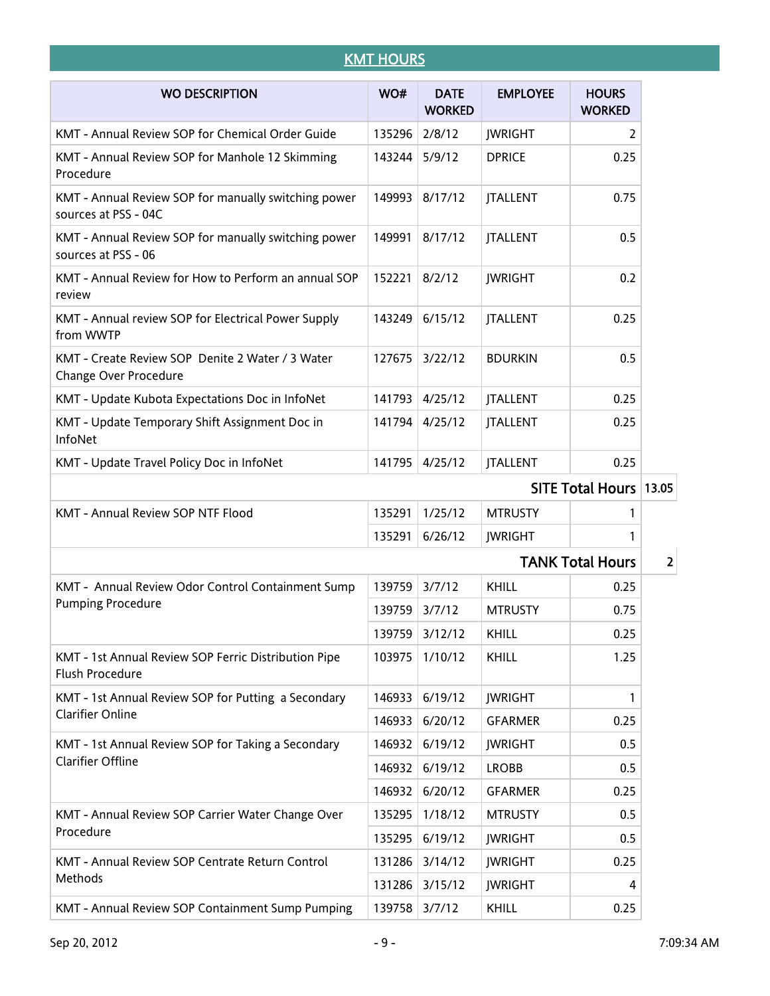## **KMT HOURS**

| <b>WO DESCRIPTION</b>                                                          | WO#    | <b>DATE</b><br><b>WORKED</b> | <b>EMPLOYEE</b>         | <b>HOURS</b><br><b>WORKED</b> |                         |
|--------------------------------------------------------------------------------|--------|------------------------------|-------------------------|-------------------------------|-------------------------|
| KMT - Annual Review SOP for Chemical Order Guide                               | 135296 | 2/8/12                       | <b>JWRIGHT</b>          | 2                             |                         |
| KMT - Annual Review SOP for Manhole 12 Skimming<br>Procedure                   | 143244 | 5/9/12                       | <b>DPRICE</b>           | 0.25                          |                         |
| KMT - Annual Review SOP for manually switching power<br>sources at PSS - 04C   | 149993 | 8/17/12                      | <b>JTALLENT</b>         | 0.75                          |                         |
| KMT - Annual Review SOP for manually switching power<br>sources at PSS - 06    | 149991 | 8/17/12                      | <b>JTALLENT</b>         | 0.5                           |                         |
| KMT - Annual Review for How to Perform an annual SOP<br>review                 | 152221 | 8/2/12                       | <b>JWRIGHT</b>          | 0.2                           |                         |
| KMT - Annual review SOP for Electrical Power Supply<br>from WWTP               | 143249 | 6/15/12                      | <b>JTALLENT</b>         | 0.25                          |                         |
| KMT - Create Review SOP Denite 2 Water / 3 Water<br>Change Over Procedure      | 127675 | 3/22/12                      | <b>BDURKIN</b>          | 0.5                           |                         |
| KMT - Update Kubota Expectations Doc in InfoNet                                | 141793 | 4/25/12                      | <b>JTALLENT</b>         | 0.25                          |                         |
| KMT - Update Temporary Shift Assignment Doc in<br>InfoNet                      | 141794 | 4/25/12                      | <b>JTALLENT</b>         | 0.25                          |                         |
| KMT - Update Travel Policy Doc in InfoNet                                      | 141795 | 4/25/12                      | <b>JTALLENT</b>         | 0.25                          |                         |
|                                                                                |        |                              | <b>SITE Total Hours</b> | 13.05                         |                         |
| KMT - Annual Review SOP NTF Flood                                              | 135291 | 1/25/12                      | <b>MTRUSTY</b>          | 1                             |                         |
|                                                                                | 135291 | 6/26/12                      | <b>JWRIGHT</b>          | 1                             |                         |
|                                                                                |        |                              |                         | <b>TANK Total Hours</b>       | $\overline{\mathbf{2}}$ |
| KMT - Annual Review Odor Control Containment Sump                              | 139759 | 3/7/12                       | KHILL                   | 0.25                          |                         |
| <b>Pumping Procedure</b>                                                       | 139759 | 3/7/12                       | <b>MTRUSTY</b>          | 0.75                          |                         |
|                                                                                |        | 139759 3/12/12               | KHILL                   | 0.25                          |                         |
| KMT - 1st Annual Review SOP Ferric Distribution Pipe<br><b>Flush Procedure</b> | 103975 | 1/10/12                      | <b>KHILL</b>            | 1.25                          |                         |
| KMT - 1st Annual Review SOP for Putting a Secondary                            | 146933 | 6/19/12                      | <b>JWRIGHT</b>          | 1                             |                         |
| <b>Clarifier Online</b>                                                        | 146933 | 6/20/12                      | <b>GFARMER</b>          | 0.25                          |                         |
| KMT - 1st Annual Review SOP for Taking a Secondary                             | 146932 | 6/19/12                      | <b>JWRIGHT</b>          | 0.5                           |                         |
| <b>Clarifier Offline</b>                                                       | 146932 | 6/19/12                      | <b>LROBB</b>            | 0.5                           |                         |
|                                                                                | 146932 | 6/20/12                      | <b>GFARMER</b>          | 0.25                          |                         |
| KMT - Annual Review SOP Carrier Water Change Over                              | 135295 | 1/18/12                      | <b>MTRUSTY</b>          | 0.5                           |                         |
| Procedure                                                                      | 135295 | 6/19/12                      | <b>JWRIGHT</b>          | 0.5                           |                         |
| KMT - Annual Review SOP Centrate Return Control                                | 131286 | 3/14/12                      | <b>JWRIGHT</b>          | 0.25                          |                         |
| Methods                                                                        | 131286 | 3/15/12                      | <b>JWRIGHT</b>          | 4                             |                         |
| KMT - Annual Review SOP Containment Sump Pumping                               | 139758 | 3/7/12                       | KHILL                   | 0.25                          |                         |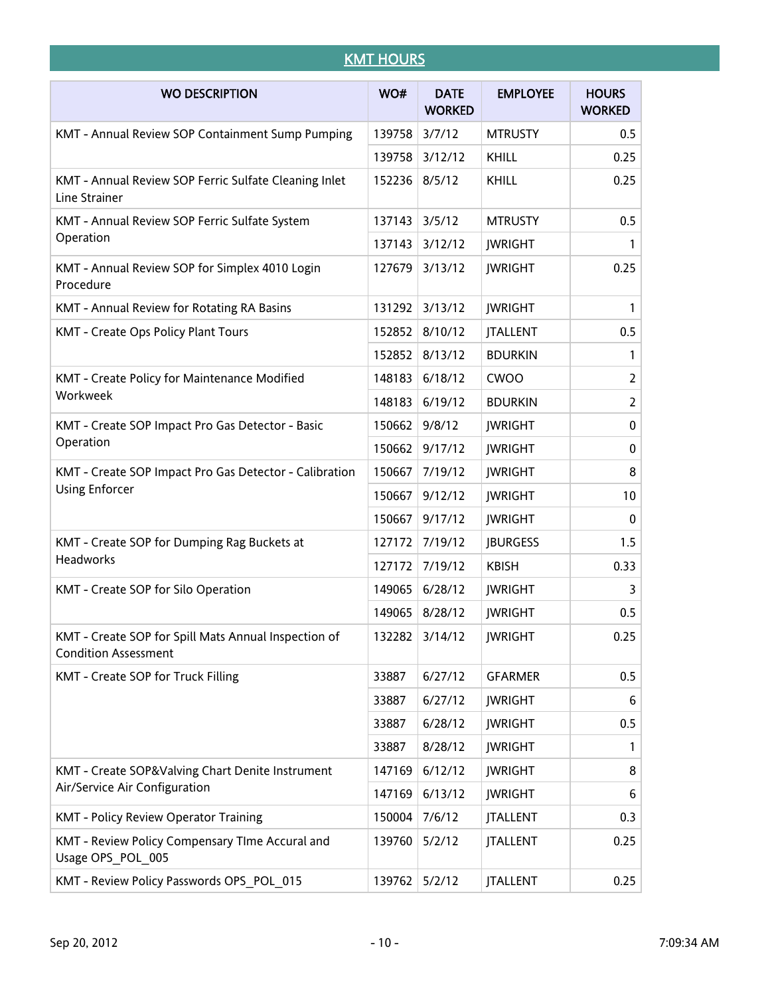|                                                                                     | <b>KMT HOURS</b> |                              |                 |                               |
|-------------------------------------------------------------------------------------|------------------|------------------------------|-----------------|-------------------------------|
| <b>WO DESCRIPTION</b>                                                               | WO#              | <b>DATE</b><br><b>WORKED</b> | <b>EMPLOYEE</b> | <b>HOURS</b><br><b>WORKED</b> |
| KMT - Annual Review SOP Containment Sump Pumping                                    | 139758           | 3/7/12                       | <b>MTRUSTY</b>  | 0.5                           |
|                                                                                     | 139758           | 3/12/12                      | KHILL           | 0.25                          |
| KMT - Annual Review SOP Ferric Sulfate Cleaning Inlet<br>Line Strainer              | 152236           | 8/5/12                       | KHILL           | 0.25                          |
| KMT - Annual Review SOP Ferric Sulfate System                                       | 137143           | 3/5/12                       | <b>MTRUSTY</b>  | 0.5                           |
| Operation                                                                           | 137143           | 3/12/12                      | <b>JWRIGHT</b>  | 1                             |
| KMT - Annual Review SOP for Simplex 4010 Login<br>Procedure                         | 127679           | 3/13/12                      | <b>JWRIGHT</b>  | 0.25                          |
| KMT - Annual Review for Rotating RA Basins                                          | 131292           | 3/13/12                      | <b>JWRIGHT</b>  | 1                             |
| KMT - Create Ops Policy Plant Tours                                                 | 152852           | 8/10/12                      | <b>JTALLENT</b> | 0.5                           |
|                                                                                     | 152852           | 8/13/12                      | <b>BDURKIN</b>  | 1                             |
| KMT - Create Policy for Maintenance Modified                                        | 148183           | 6/18/12                      | <b>CWOO</b>     | $\overline{2}$                |
| Workweek                                                                            | 148183           | 6/19/12                      | <b>BDURKIN</b>  | $\overline{2}$                |
| KMT - Create SOP Impact Pro Gas Detector - Basic                                    | 150662           | 9/8/12                       | <b>JWRIGHT</b>  | $\pmb{0}$                     |
| Operation                                                                           | 150662           | 9/17/12                      | <b>JWRIGHT</b>  | 0                             |
| KMT - Create SOP Impact Pro Gas Detector - Calibration                              | 150667           | 7/19/12                      | <b>JWRIGHT</b>  | 8                             |
| <b>Using Enforcer</b>                                                               | 150667           | 9/12/12                      | <b>JWRIGHT</b>  | 10                            |
|                                                                                     | 150667           | 9/17/12                      | <b>JWRIGHT</b>  | 0                             |
| KMT - Create SOP for Dumping Rag Buckets at                                         | 127172           | 7/19/12                      | <b>JBURGESS</b> | 1.5                           |
| Headworks                                                                           | 127172           | 7/19/12                      | <b>KBISH</b>    | 0.33                          |
| KMT - Create SOP for Silo Operation                                                 | 149065           | 6/28/12                      | <b>JWRIGHT</b>  | 3                             |
|                                                                                     |                  | 149065 8/28/12               | <b>JWRIGHT</b>  | 0.5                           |
| KMT - Create SOP for Spill Mats Annual Inspection of<br><b>Condition Assessment</b> | 132282           | 3/14/12                      | <b>JWRIGHT</b>  | 0.25                          |
| KMT - Create SOP for Truck Filling                                                  | 33887            | 6/27/12                      | <b>GFARMER</b>  | 0.5                           |
|                                                                                     | 33887            | 6/27/12                      | <b>JWRIGHT</b>  | 6                             |
|                                                                                     | 33887            | 6/28/12                      | <b>JWRIGHT</b>  | 0.5                           |
|                                                                                     | 33887            | 8/28/12                      | <b>JWRIGHT</b>  | 1                             |
| KMT - Create SOP&Valving Chart Denite Instrument                                    | 147169           | 6/12/12                      | <b>JWRIGHT</b>  | 8                             |
| Air/Service Air Configuration                                                       | 147169           | 6/13/12                      | <b>JWRIGHT</b>  | 6                             |
| KMT - Policy Review Operator Training                                               | 150004           | 7/6/12                       | <b>JTALLENT</b> | 0.3                           |
| KMT - Review Policy Compensary TIme Accural and<br>Usage OPS POL 005                | 139760           | 5/2/12                       | <b>JTALLENT</b> | 0.25                          |
| KMT - Review Policy Passwords OPS POL 015                                           | 139762           | 5/2/12                       | <b>JTALLENT</b> | 0.25                          |